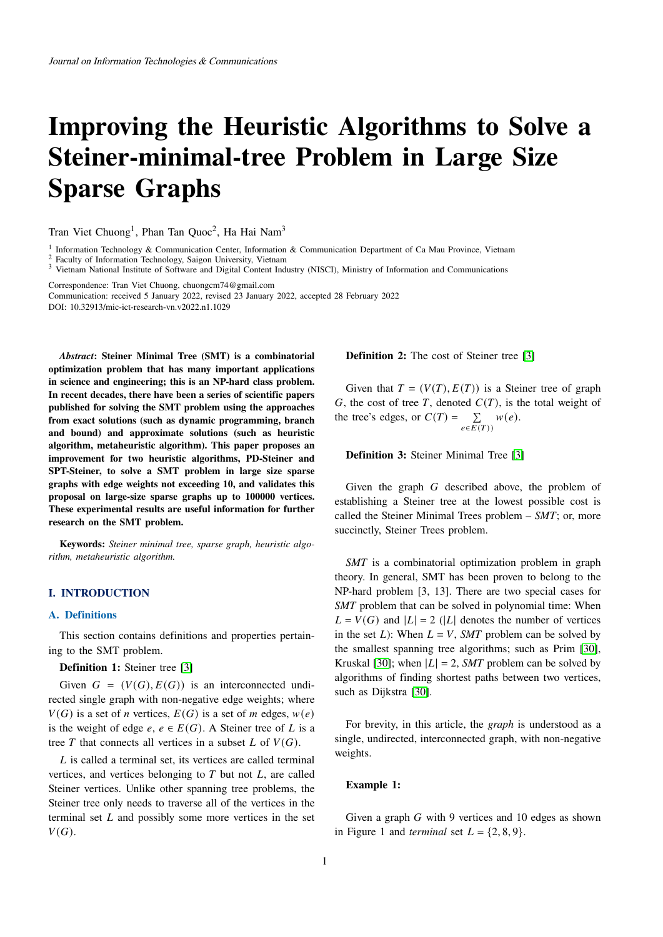# **Improving the Heuristic Algorithms to Solve a Steiner-minimal-tree Problem in Large Size Sparse Graphs**

Tran Viet Chuong<sup>1</sup>, Phan Tan Quoc<sup>2</sup>, Ha Hai Nam<sup>3</sup>

<sup>1</sup> Information Technology & Communication Center, Information & Communication Department of Ca Mau Province, Vietnam

 $\frac{2}{3}$  Faculty of Information Technology, Saigon University, Vietnam  $\frac{3}{3}$  Vietnam National Institute of Software and Digital Content Indi

<sup>3</sup> Vietnam National Institute of Software and Digital Content Industry (NISCI), Ministry of Information and Communications

Correspondence: Tran Viet Chuong, chuongcm74@gmail.com

Communication: received 5 January 2022, revised 23 January 2022, accepted 28 February 2022 DOI: 10.32913/mic-ict-research-vn.v2022.n1.1029

*Abstract***: Steiner Minimal Tree (SMT) is a combinatorial optimization problem that has many important applications in science and engineering; this is an NP-hard class problem. In recent decades, there have been a series of scientific papers published for solving the SMT problem using the approaches from exact solutions (such as dynamic programming, branch and bound) and approximate solutions (such as heuristic algorithm, metaheuristic algorithm). This paper proposes an improvement for two heuristic algorithms, PD-Steiner and SPT-Steiner, to solve a SMT problem in large size sparse graphs with edge weights not exceeding 10, and validates this proposal on large-size sparse graphs up to 100000 vertices. These experimental results are useful information for further research on the SMT problem.**

**Keywords:** *Steiner minimal tree, sparse graph, heuristic algorithm, metaheuristic algorithm.*

## **I. INTRODUCTION**

## **A. Definitions**

This section contains definitions and properties pertaining to the SMT problem.

## **Definition 1:** Steiner tree [\[3\]](#page-8-0)

Given  $G = (V(G), E(G))$  is an interconnected undirected single graph with non-negative edge weights; where  $V(G)$  is a set of *n* vertices,  $E(G)$  is a set of *m* edges,  $w(e)$ is the weight of edge  $e, e \in E(G)$ . A Steiner tree of L is a tree T that connects all vertices in a subset  $L$  of  $V(G)$ .

 $L$  is called a terminal set, its vertices are called terminal vertices, and vertices belonging to  $T$  but not  $L$ , are called Steiner vertices. Unlike other spanning tree problems, the Steiner tree only needs to traverse all of the vertices in the terminal set  $L$  and possibly some more vertices in the set  $V(G).$ 

**Definition 2:** The cost of Steiner tree [\[3\]](#page-8-0)

Given that  $T = (V(T), E(T))$  is a Steiner tree of graph G, the cost of tree T, denoted  $C(T)$ , is the total weight of the tree's edges, or  $C(T) = \sum_{e \in E(T)} w(e)$ .

**Definition 3:** Steiner Minimal Tree [\[3\]](#page-8-0)

Given the graph  $G$  described above, the problem of establishing a Steiner tree at the lowest possible cost is called the Steiner Minimal Trees problem – *SMT*; or, more succinctly, Steiner Trees problem.

*SMT* is a combinatorial optimization problem in graph theory. In general, SMT has been proven to belong to the NP-hard problem [3, 13]. There are two special cases for *SMT* problem that can be solved in polynomial time: When  $L = V(G)$  and  $|L| = 2$  (|L| denotes the number of vertices in the set  $L$ ): When  $L = V$ , *SMT* problem can be solved by the smallest spanning tree algorithms; such as Prim [\[30\]](#page-8-1), Kruskal [\[30\]](#page-8-1); when  $|L| = 2$ , *SMT* problem can be solved by algorithms of finding shortest paths between two vertices, such as Dijkstra [\[30\]](#page-8-1).

For brevity, in this article, the *graph* is understood as a single, undirected, interconnected graph, with non-negative weights.

## **Example 1:**

Given a graph  $G$  with 9 vertices and 10 edges as shown in Figure 1 and *terminal* set  $L = \{2, 8, 9\}.$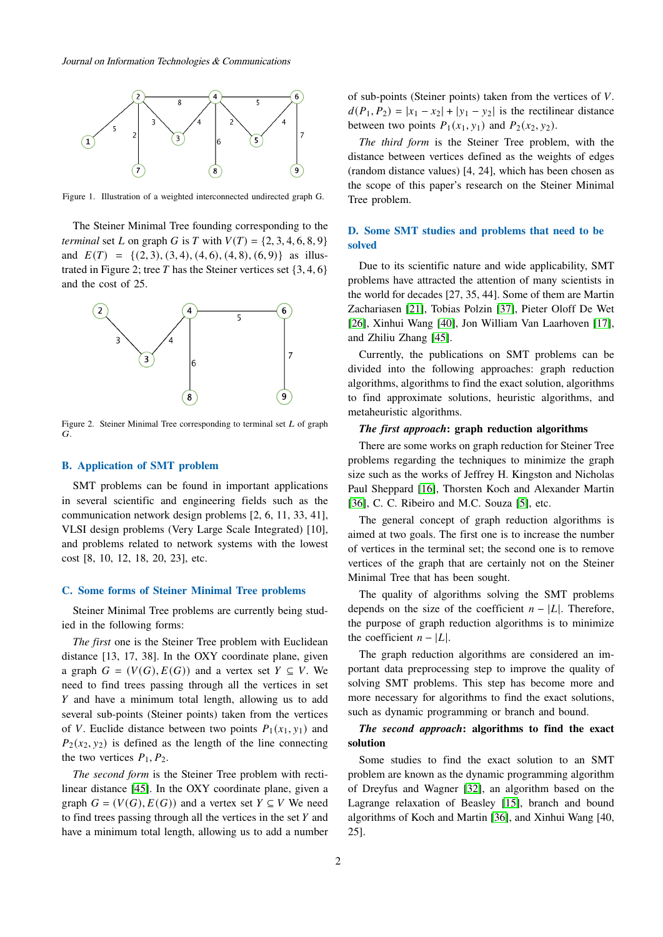

Figure 1. Illustration of a weighted interconnected undirected graph G.

The Steiner Minimal Tree founding corresponding to the *terminal* set *L* on graph *G* is *T* with  $V(T) = \{2, 3, 4, 6, 8, 9\}$ and  $E(T) = \{(2, 3), (3, 4), (4, 6), (4, 8), (6, 9)\}\$ as illustrated in Figure 2; tree T has the Steiner vertices set  $\{3, 4, 6\}$ and the cost of 25.



Figure 2. Steiner Minimal Tree corresponding to terminal set  $L$  of graph  $G$ .

## **B. Application of SMT problem**

SMT problems can be found in important applications in several scientific and engineering fields such as the communication network design problems [2, 6, 11, 33, 41], VLSI design problems (Very Large Scale Integrated) [10], and problems related to network systems with the lowest cost [8, 10, 12, 18, 20, 23], etc.

# **C. Some forms of Steiner Minimal Tree problems**

Steiner Minimal Tree problems are currently being studied in the following forms:

*The first* one is the Steiner Tree problem with Euclidean distance [13, 17, 38]. In the OXY coordinate plane, given a graph  $G = (V(G), E(G))$  and a vertex set  $Y \subseteq V$ . We need to find trees passing through all the vertices in set  $Y$  and have a minimum total length, allowing us to add several sub-points (Steiner points) taken from the vertices of V. Euclide distance between two points  $P_1(x_1, y_1)$  and  $P_2(x_2, y_2)$  is defined as the length of the line connecting the two vertices  $P_1$ ,  $P_2$ .

*The second form* is the Steiner Tree problem with rectilinear distance [\[45\]](#page-8-2). In the OXY coordinate plane, given a graph  $G = (V(G), E(G))$  and a vertex set  $Y \subseteq V$  We need to find trees passing through all the vertices in the set  $Y$  and have a minimum total length, allowing us to add a number of sub-points (Steiner points) taken from the vertices of  $V$ .  $d(P_1, P_2) = |x_1 - x_2| + |y_1 - y_2|$  is the rectilinear distance between two points  $P_1(x_1, y_1)$  and  $P_2(x_2, y_2)$ .

*The third form* is the Steiner Tree problem, with the distance between vertices defined as the weights of edges (random distance values) [4, 24], which has been chosen as the scope of this paper's research on the Steiner Minimal Tree problem.

# **D. Some SMT studies and problems that need to be solved**

Due to its scientific nature and wide applicability, SMT problems have attracted the attention of many scientists in the world for decades [27, 35, 44]. Some of them are Martin Zachariasen [\[21\]](#page-8-3), Tobias Polzin [\[37\]](#page-8-4), Pieter Oloff De Wet [\[26\]](#page-8-5), Xinhui Wang [\[40\]](#page-8-6), Jon William Van Laarhoven [\[17\]](#page-8-7), and Zhiliu Zhang [\[45\]](#page-8-2).

Currently, the publications on SMT problems can be divided into the following approaches: graph reduction algorithms, algorithms to find the exact solution, algorithms to find approximate solutions, heuristic algorithms, and metaheuristic algorithms.

# *The first approach***: graph reduction algorithms**

There are some works on graph reduction for Steiner Tree problems regarding the techniques to minimize the graph size such as the works of Jeffrey H. Kingston and Nicholas Paul Sheppard [\[16\]](#page-8-8), Thorsten Koch and Alexander Martin [\[36\]](#page-8-9), C. C. Ribeiro and M.C. Souza [\[5\]](#page-8-10), etc.

The general concept of graph reduction algorithms is aimed at two goals. The first one is to increase the number of vertices in the terminal set; the second one is to remove vertices of the graph that are certainly not on the Steiner Minimal Tree that has been sought.

The quality of algorithms solving the SMT problems depends on the size of the coefficient  $n - |L|$ . Therefore, the purpose of graph reduction algorithms is to minimize the coefficient  $n - |L|$ .

The graph reduction algorithms are considered an important data preprocessing step to improve the quality of solving SMT problems. This step has become more and more necessary for algorithms to find the exact solutions, such as dynamic programming or branch and bound.

# *The second approach***: algorithms to find the exact solution**

Some studies to find the exact solution to an SMT problem are known as the dynamic programming algorithm of Dreyfus and Wagner [\[32\]](#page-8-11), an algorithm based on the Lagrange relaxation of Beasley [\[15\]](#page-8-12), branch and bound algorithms of Koch and Martin [\[36\]](#page-8-9), and Xinhui Wang [40, 25].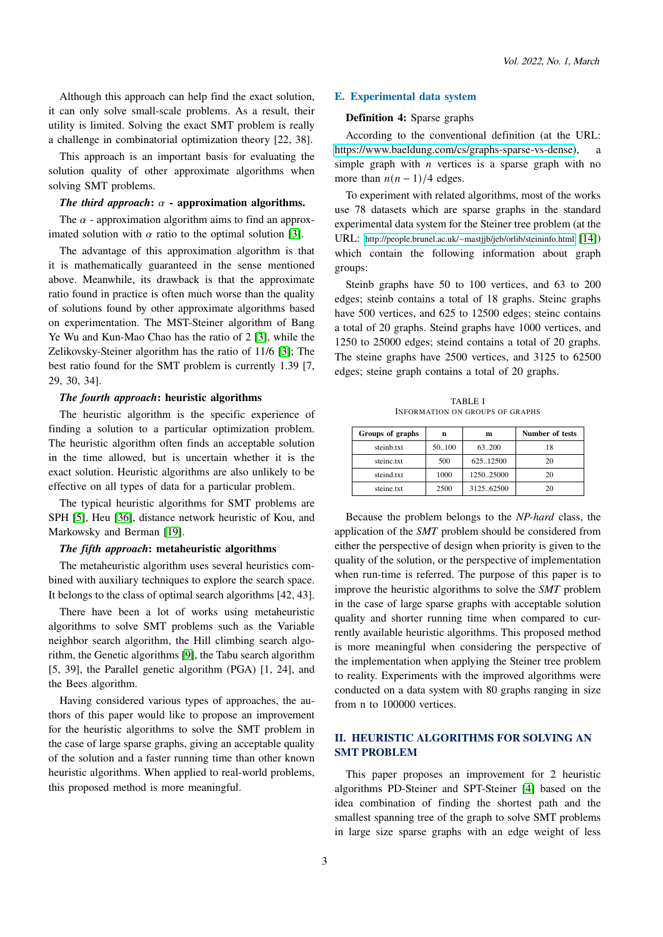Although this approach can help find the exact solution, it can only solve small-scale problems. As a result, their utility is limited. Solving the exact SMT problem is really a challenge in combinatorial optimization theory [22, 38].

This approach is an important basis for evaluating the solution quality of other approximate algorithms when solving SMT problems.

## *The third approach*:  $\alpha$  - approximation algorithms.

The  $\alpha$  - approximation algorithm aims to find an approximated solution with  $\alpha$  ratio to the optimal solution [\[3\]](#page-8-0).

The advantage of this approximation algorithm is that it is mathematically guaranteed in the sense mentioned above. Meanwhile, its drawback is that the approximate ratio found in practice is often much worse than the quality of solutions found by other approximate algorithms based on experimentation. The MST-Steiner algorithm of Bang Ye Wu and Kun-Mao Chao has the ratio of 2 [\[3\]](#page-8-0), while the Zelikovsky-Steiner algorithm has the ratio of 11/6 [\[3\]](#page-8-0); The best ratio found for the SMT problem is currently 1.39 [7, 29, 30, 34].

## *The fourth approach***: heuristic algorithms**

The heuristic algorithm is the specific experience of finding a solution to a particular optimization problem. The heuristic algorithm often finds an acceptable solution in the time allowed, but is uncertain whether it is the exact solution. Heuristic algorithms are also unlikely to be effective on all types of data for a particular problem.

The typical heuristic algorithms for SMT problems are SPH [\[5\]](#page-8-10), Heu [\[36\]](#page-8-9), distance network heuristic of Kou, and Markowsky and Berman [\[19\]](#page-8-13).

## *The fifth approach***: metaheuristic algorithms**

The metaheuristic algorithm uses several heuristics combined with auxiliary techniques to explore the search space. It belongs to the class of optimal search algorithms [42, 43].

There have been a lot of works using metaheuristic algorithms to solve SMT problems such as the Variable neighbor search algorithm, the Hill climbing search algorithm, the Genetic algorithms [\[9\]](#page-8-14), the Tabu search algorithm [5, 39], the Parallel genetic algorithm (PGA) [1, 24], and the Bees algorithm.

Having considered various types of approaches, the authors of this paper would like to propose an improvement for the heuristic algorithms to solve the SMT problem in the case of large sparse graphs, giving an acceptable quality of the solution and a faster running time than other known heuristic algorithms. When applied to real-world problems, this proposed method is more meaningful.

## **E. Experimental data system**

## **Definition 4:** Sparse graphs

According to the conventional definition (at the URL: [https://www.baeldung.com/cs/graphs-sparse-vs-dense\)](https://www.baeldung.com/cs/graphs-sparse-vs-dense), a simple graph with  $n$  vertices is a sparse graph with no more than  $n(n - 1)/4$  edges.

To experiment with related algorithms, most of the works use 78 datasets which are sparse graphs in the standard experimental data system for the Steiner tree problem (at the URL: http://people.brunel.ac.uk/∼[mastjjb/jeb/orlib/steininfo.html](http://people.brunel.ac.uk/$\sim $mastjjb/jeb/orlib/steininfo.html) [\[14\]](#page-8-15)) which contain the following information about graph groups:

Steinb graphs have 50 to 100 vertices, and 63 to 200 edges; steinb contains a total of 18 graphs. Steinc graphs have 500 vertices, and 625 to 12500 edges; steinc contains a total of 20 graphs. Steind graphs have 1000 vertices, and 1250 to 25000 edges; steind contains a total of 20 graphs. The steine graphs have 2500 vertices, and 3125 to 62500 edges; steine graph contains a total of 20 graphs.

TABLE I INFORMATION ON GROUPS OF GRAPHS

| Groups of graphs | n      | m         | Number of tests |
|------------------|--------|-----------|-----------------|
| steinb.txt       | 50.100 | 63.200    | 18              |
| steinc.txt       | 500    | 625.12500 | 20              |
| steind.txt       | 1000   | 125025000 | 20              |
| steine.txt       | 2500   | 312562500 | 20              |

Because the problem belongs to the *NP-hard* class, the application of the *SMT* problem should be considered from either the perspective of design when priority is given to the quality of the solution, or the perspective of implementation when run-time is referred. The purpose of this paper is to improve the heuristic algorithms to solve the *SMT* problem in the case of large sparse graphs with acceptable solution quality and shorter running time when compared to currently available heuristic algorithms. This proposed method is more meaningful when considering the perspective of the implementation when applying the Steiner tree problem to reality. Experiments with the improved algorithms were conducted on a data system with 80 graphs ranging in size from n to 100000 vertices.

# **II. HEURISTIC ALGORITHMS FOR SOLVING AN SMT PROBLEM**

This paper proposes an improvement for 2 heuristic algorithms PD-Steiner and SPT-Steiner [\[4\]](#page-8-16) based on the idea combination of finding the shortest path and the smallest spanning tree of the graph to solve SMT problems in large size sparse graphs with an edge weight of less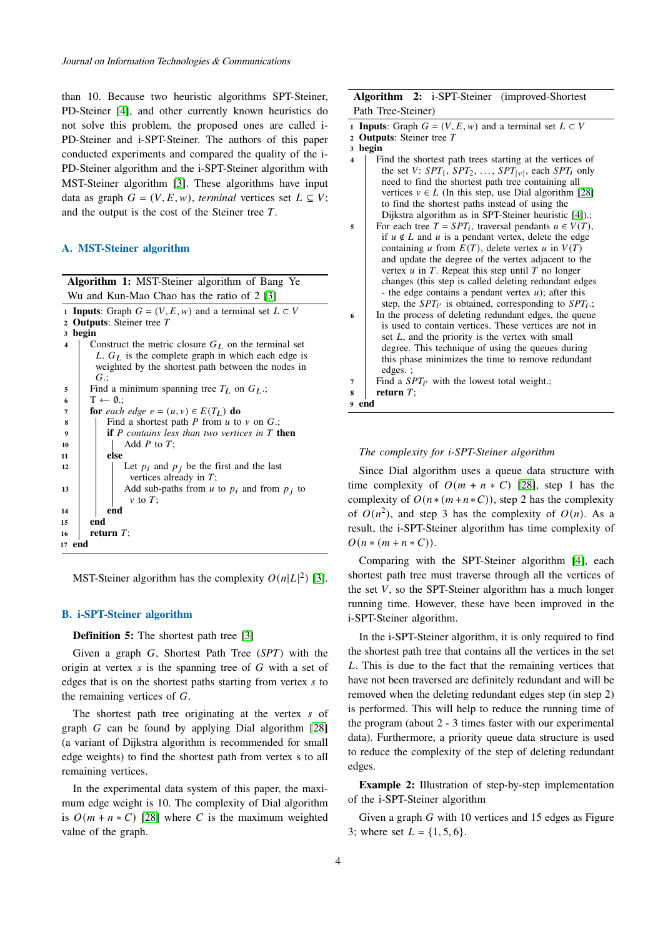than 10. Because two heuristic algorithms SPT-Steiner, PD-Steiner [\[4\]](#page-8-16), and other currently known heuristics do not solve this problem, the proposed ones are called i-PD-Steiner and i-SPT-Steiner. The authors of this paper conducted experiments and compared the quality of the i-PD-Steiner algorithm and the i-SPT-Steiner algorithm with MST-Steiner algorithm [\[3\]](#page-8-0). These algorithms have input data as graph  $G = (V, E, w)$ , *terminal* vertices set  $L \subseteq V$ ; and the output is the cost of the Steiner tree  $T$ .

## **A. MST-Steiner algorithm**

| <b>Algorithm 1:</b> MST-Steiner algorithm of Bang Ye                              |  |  |  |  |  |  |
|-----------------------------------------------------------------------------------|--|--|--|--|--|--|
| Wu and Kun-Mao Chao has the ratio of 2 [3]                                        |  |  |  |  |  |  |
| <b>1 Inputs:</b> Graph $G = (V, E, w)$ and a terminal set $L \subset V$           |  |  |  |  |  |  |
| 2 Outputs: Steiner tree $T$                                                       |  |  |  |  |  |  |
| begin<br>3                                                                        |  |  |  |  |  |  |
| Construct the metric closure $G_L$ on the terminal set<br>$\overline{\mathbf{4}}$ |  |  |  |  |  |  |
| L. $G_L$ is the complete graph in which each edge is                              |  |  |  |  |  |  |
| weighted by the shortest path between the nodes in                                |  |  |  |  |  |  |
| $G$ :                                                                             |  |  |  |  |  |  |
| Find a minimum spanning tree $T_L$ on $G_L$ .;<br>5                               |  |  |  |  |  |  |
| $T \leftarrow \emptyset$ .:<br>6                                                  |  |  |  |  |  |  |
| <b>for</b> each edge $e = (u, v) \in E(T_L)$ <b>do</b><br>7                       |  |  |  |  |  |  |
| Find a shortest path P from $u$ to $v$ on $G$ .;<br>8                             |  |  |  |  |  |  |
| <b>if</b> P contains less than two vertices in $T$ then<br>9                      |  |  |  |  |  |  |
| Add $P$ to $T$ ;<br>10                                                            |  |  |  |  |  |  |
| else<br>11                                                                        |  |  |  |  |  |  |
| Let $p_i$ and $p_j$ be the first and the last<br>12                               |  |  |  |  |  |  |
| vertices already in $T$ ;                                                         |  |  |  |  |  |  |
| Add sub-paths from $u$ to $p_i$ and from $p_j$ to<br>13                           |  |  |  |  |  |  |
| $\nu$ to T;                                                                       |  |  |  |  |  |  |
| end<br>14                                                                         |  |  |  |  |  |  |
| end<br>15                                                                         |  |  |  |  |  |  |
| return $T$ ;<br>16                                                                |  |  |  |  |  |  |
| 17 end                                                                            |  |  |  |  |  |  |
|                                                                                   |  |  |  |  |  |  |

MST-Steiner algorithm has the complexity  $O(n|L|^2)$  [\[3\]](#page-8-0).

## **B. i-SPT-Steiner algorithm**

**Definition 5:** The shortest path tree [\[3\]](#page-8-0)

Given a graph G, Shortest Path Tree (*SPT*) with the origin at vertex  $s$  is the spanning tree of  $G$  with a set of edges that is on the shortest paths starting from vertex  $s$  to the remaining vertices of  $G$ .

The shortest path tree originating at the vertex s of graph  $G$  can be found by applying Dial algorithm  $[28]$ (a variant of Dijkstra algorithm is recommended for small edge weights) to find the shortest path from vertex s to all remaining vertices.

In the experimental data system of this paper, the maximum edge weight is 10. The complexity of Dial algorithm is  $O(m + n * C)$  [\[28\]](#page-8-17) where C is the maximum weighted value of the graph.

# **Algorithm 2:** i-SPT-Steiner (improved-Shortest Path Tree-Steiner)

- **1 Inputs**: Graph  $G = (V, E, w)$  and a terminal set  $L \subset V$
- **<sup>2</sup> Outputs**: Steiner tree
- **<sup>3</sup> begin**
- **<sup>4</sup>** Find the shortest path trees starting at the vertices of the set V:  $SPT_1$ ,  $SPT_2$ , ...,  $SPT_{|v|}$ , each  $SPT_i$  only need to find the shortest path tree containing all vertices  $v \in L$  (In this step, use Dial algorithm [\[28\]](#page-8-17) to find the shortest paths instead of using the Dijkstra algorithm as in SPT-Steiner heuristic [\[4\]](#page-8-16)).;
- **5** For each tree  $T = SPT_i$ , traversal pendants  $u \in V(T)$ , if  $u \notin L$  and  $u$  is a pendant vertex, delete the edge containing *u* from  $E(T)$ , delete vertex *u* in  $V(T)$ and update the degree of the vertex adjacent to the vertex  $u$  in  $T$ . Repeat this step until  $T$  no longer changes (this step is called deleting redundant edges - the edge contains a pendant vertex  $u$ ); after this step, the  $SPT_{i'}$  is obtained, corresponding to  $SPT_{i}$ .;
- **<sup>6</sup>** In the process of deleting redundant edges, the queue is used to contain vertices. These vertices are not in set  $L$ , and the priority is the vertex with small degree. This technique of using the queues during this phase minimizes the time to remove redundant edges. ;
- $7 \mid$  Find a  $SPT_{i'}$  with the lowest total weight.;

**<sup>8</sup> return** ; **<sup>9</sup> end**

### *The complexity for i-SPT-Steiner algorithm*

Since Dial algorithm uses a queue data structure with time complexity of  $O(m + n * C)$  [\[28\]](#page-8-17), step 1 has the complexity of  $O(n * (m + n * C))$ , step 2 has the complexity of  $O(n^2)$ , and step 3 has the complexity of  $O(n)$ . As a result, the i-SPT-Steiner algorithm has time complexity of  $O(n * (m + n * C)).$ 

Comparing with the SPT-Steiner algorithm [\[4\]](#page-8-16), each shortest path tree must traverse through all the vertices of the set  $V$ , so the SPT-Steiner algorithm has a much longer running time. However, these have been improved in the i-SPT-Steiner algorithm.

In the i-SPT-Steiner algorithm, it is only required to find the shortest path tree that contains all the vertices in the set . This is due to the fact that the remaining vertices that have not been traversed are definitely redundant and will be removed when the deleting redundant edges step (in step 2) is performed. This will help to reduce the running time of the program (about 2 - 3 times faster with our experimental data). Furthermore, a priority queue data structure is used to reduce the complexity of the step of deleting redundant edges.

**Example 2:** Illustration of step-by-step implementation of the i-SPT-Steiner algorithm

Given a graph  $G$  with 10 vertices and 15 edges as Figure 3; where set  $L = \{1, 5, 6\}$ .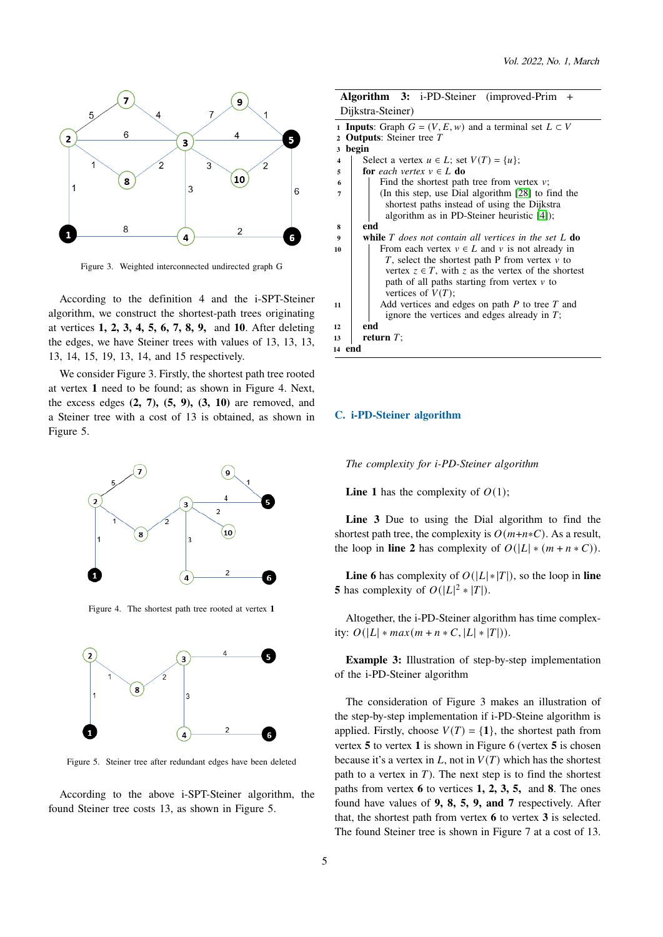

Figure 3. Weighted interconnected undirected graph G

According to the definition 4 and the i-SPT-Steiner algorithm, we construct the shortest-path trees originating at vertices **1, 2, 3, 4, 5, 6, 7, 8, 9,** and **10**. After deleting the edges, we have Steiner trees with values of 13, 13, 13, 13, 14, 15, 19, 13, 14, and 15 respectively.

We consider Figure 3. Firstly, the shortest path tree rooted at vertex **1** need to be found; as shown in Figure 4. Next, the excess edges **(2, 7), (5, 9), (3, 10)** are removed, and a Steiner tree with a cost of 13 is obtained, as shown in Figure 5.



Figure 4. The shortest path tree rooted at vertex **1**



Figure 5. Steiner tree after redundant edges have been deleted

According to the above i-SPT-Steiner algorithm, the found Steiner tree costs 13, as shown in Figure 5.

|                         | <b>Algorithm 3:</b> i-PD-Steiner (improved-Prim<br>$^{+}$               |  |  |  |  |  |  |
|-------------------------|-------------------------------------------------------------------------|--|--|--|--|--|--|
|                         | Dijkstra-Steiner)                                                       |  |  |  |  |  |  |
|                         | <b>1 Inputs:</b> Graph $G = (V, E, w)$ and a terminal set $L \subset V$ |  |  |  |  |  |  |
| $\mathbf{2}$            | <b>Outputs:</b> Steiner tree T                                          |  |  |  |  |  |  |
| 3                       | begin                                                                   |  |  |  |  |  |  |
| $\overline{\mathbf{4}}$ | Select a vertex $u \in L$ ; set $V(T) = \{u\}$ ;                        |  |  |  |  |  |  |
| 5                       | for each vertex $v \in L$ do                                            |  |  |  |  |  |  |
| 6                       | Find the shortest path tree from vertex $v$ ;                           |  |  |  |  |  |  |
| 7                       | (In this step, use Dial algorithm [28] to find the                      |  |  |  |  |  |  |
|                         | shortest paths instead of using the Dijkstra                            |  |  |  |  |  |  |
|                         | algorithm as in PD-Steiner heuristic [4]);                              |  |  |  |  |  |  |
| 8                       | end                                                                     |  |  |  |  |  |  |
| $\boldsymbol{9}$        | <b>while</b> $T$ does not contain all vertices in the set $L$ <b>do</b> |  |  |  |  |  |  |
| 10                      | From each vertex $v \in L$ and v is not already in                      |  |  |  |  |  |  |
|                         | T, select the shortest path P from vertex $\nu$ to                      |  |  |  |  |  |  |
|                         | vertex $z \in T$ , with z as the vertex of the shortest                 |  |  |  |  |  |  |
|                         | path of all paths starting from vertex $\nu$ to                         |  |  |  |  |  |  |
|                         | vertices of $V(T)$ ;                                                    |  |  |  |  |  |  |
| 11                      | Add vertices and edges on path $P$ to tree $T$ and                      |  |  |  |  |  |  |
|                         | ignore the vertices and edges already in $T$ ;                          |  |  |  |  |  |  |
|                         | end<br>12                                                               |  |  |  |  |  |  |
| return $T$ ;<br>13      |                                                                         |  |  |  |  |  |  |
| 14 end                  |                                                                         |  |  |  |  |  |  |
|                         |                                                                         |  |  |  |  |  |  |

### **C. i-PD-Steiner algorithm**

*The complexity for i-PD-Steiner algorithm*

**Line 1** has the complexity of  $O(1)$ ;

**Line 3** Due to using the Dial algorithm to find the shortest path tree, the complexity is  $O(m+n*C)$ . As a result, the loop in **line 2** has complexity of  $O(|L| * (m + n * C))$ .

**Line 6** has complexity of  $O(|L| * |T|)$ , so the loop in **line 5** has complexity of  $O(|L|^2 * |T|)$ .

Altogether, the i-PD-Steiner algorithm has time complexity:  $O(|L| * max(m + n * C, |L| * |T|)).$ 

**Example 3:** Illustration of step-by-step implementation of the i-PD-Steiner algorithm

The consideration of Figure 3 makes an illustration of the step-by-step implementation if i-PD-Steine algorithm is applied. Firstly, choose  $V(T) = \{1\}$ , the shortest path from vertex **5** to vertex **1** is shown in Figure 6 (vertex **5** is chosen because it's a vertex in  $L$ , not in  $V(T)$  which has the shortest path to a vertex in  $T$ ). The next step is to find the shortest paths from vertex **6** to vertices **1, 2, 3, 5,** and **8**. The ones found have values of **9, 8, 5, 9, and 7** respectively. After that, the shortest path from vertex **6** to vertex **3** is selected. The found Steiner tree is shown in Figure 7 at a cost of 13.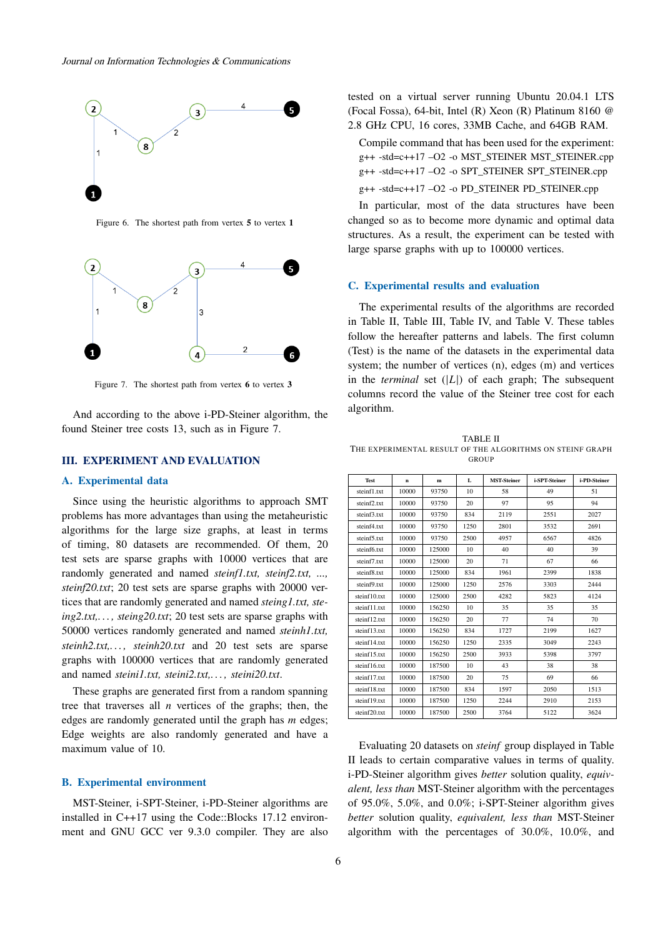

Figure 6. The shortest path from vertex **5** to vertex **1**



Figure 7. The shortest path from vertex **6** to vertex **3**

And according to the above i-PD-Steiner algorithm, the found Steiner tree costs 13, such as in Figure 7.

## **III. EXPERIMENT AND EVALUATION**

#### **A. Experimental data**

Since using the heuristic algorithms to approach SMT problems has more advantages than using the metaheuristic algorithms for the large size graphs, at least in terms of timing, 80 datasets are recommended. Of them, 20 test sets are sparse graphs with 10000 vertices that are randomly generated and named *steinf1.txt, steinf2.txt, ..., steinf20.txt*; 20 test sets are sparse graphs with 20000 vertices that are randomly generated and named *steing1.txt, steing2.txt,. . . , steing20.txt*; 20 test sets are sparse graphs with 50000 vertices randomly generated and named *steinh1.txt, steinh2.txt,. . . , steinh20.txt* and 20 test sets are sparse graphs with 100000 vertices that are randomly generated and named *steini1.txt, steini2.txt,. . . , steini20.txt*.

These graphs are generated first from a random spanning tree that traverses all  $n$  vertices of the graphs; then, the edges are randomly generated until the graph has  $m$  edges; Edge weights are also randomly generated and have a maximum value of 10.

#### **B. Experimental environment**

MST-Steiner, i-SPT-Steiner, i-PD-Steiner algorithms are installed in C++17 using the Code::Blocks 17.12 environment and GNU GCC ver 9.3.0 compiler. They are also tested on a virtual server running Ubuntu 20.04.1 LTS (Focal Fossa), 64-bit, Intel (R) Xeon (R) Platinum 8160 @ 2.8 GHz CPU, 16 cores, 33MB Cache, and 64GB RAM.

Compile command that has been used for the experiment: g++ -std=c++17 –O2 -o MST\_STEINER MST\_STEINER.cpp g++ -std=c++17 –O2 -o SPT\_STEINER SPT\_STEINER.cpp

g++ -std=c++17 –O2 -o PD\_STEINER PD\_STEINER.cpp

In particular, most of the data structures have been changed so as to become more dynamic and optimal data structures. As a result, the experiment can be tested with large sparse graphs with up to 100000 vertices.

## **C. Experimental results and evaluation**

The experimental results of the algorithms are recorded in Table II, Table III, Table IV, and Table V. These tables follow the hereafter patterns and labels. The first column (Test) is the name of the datasets in the experimental data system; the number of vertices (n), edges (m) and vertices in the *terminal* set  $(|L|)$  of each graph; The subsequent columns record the value of the Steiner tree cost for each algorithm.

TABLE II THE EXPERIMENTAL RESULT OF THE ALGORITHMS ON STEINF GRAPH GROUP

| <b>Test</b>  | n     | m      | L    | <b>MST-Steiner</b> | i-SPT-Steiner | i-PD-Steiner |
|--------------|-------|--------|------|--------------------|---------------|--------------|
| steinf1.txt  | 10000 | 93750  | 10   | 58                 | 49            | 51           |
| steinf2.txt  | 10000 | 93750  | 20   | 97                 | 95            | 94           |
| steinf3.txt  | 10000 | 93750  | 834  | 2119               | 2551          | 2027         |
| steinf4.txt  | 10000 | 93750  | 1250 | 2801               | 3532          | 2691         |
| steinf5.txt  | 10000 | 93750  | 2500 | 4957               | 6567          | 4826         |
| steinf6.txt  | 10000 | 125000 | 10   | 40                 | 40            | 39           |
| steinf7.txt  | 10000 | 125000 | 20   | 71                 | 67            | 66           |
| steinf8.txt  | 10000 | 125000 | 834  | 1961               | 2399          | 1838         |
| steinf9.txt  | 10000 | 125000 | 1250 | 2576               | 3303          | 2444         |
| steinf10.txt | 10000 | 125000 | 2500 | 4282               | 5823          | 4124         |
| steinf11.txt | 10000 | 156250 | 10   | 35                 | 35            | 35           |
| steinf12.txt | 10000 | 156250 | 20   | 77                 | 74            | 70           |
| steinf13.txt | 10000 | 156250 | 834  | 1727               | 2199          | 1627         |
| steinf14.txt | 10000 | 156250 | 1250 | 2335               | 3049          | 2243         |
| steinf15.txt | 10000 | 156250 | 2500 | 3933               | 5398          | 3797         |
| steinf16.txt | 10000 | 187500 | 10   | 43                 | 38            | 38           |
| steinf17.txt | 10000 | 187500 | 20   | 75                 | 69            | 66           |
| steinf18.txt | 10000 | 187500 | 834  | 1597               | 2050          | 1513         |
| steinf19.txt | 10000 | 187500 | 1250 | 2244               | 2910          | 2153         |
| steinf20.txt | 10000 | 187500 | 2500 | 3764               | 5122          | 3624         |

Evaluating 20 datasets on *steinf* group displayed in Table II leads to certain comparative values in terms of quality. i-PD-Steiner algorithm gives *better* solution quality, *equivalent, less than* MST-Steiner algorithm with the percentages of 95.0%, 5.0%, and 0.0%; i-SPT-Steiner algorithm gives *better* solution quality, *equivalent, less than* MST-Steiner algorithm with the percentages of 30.0%, 10.0%, and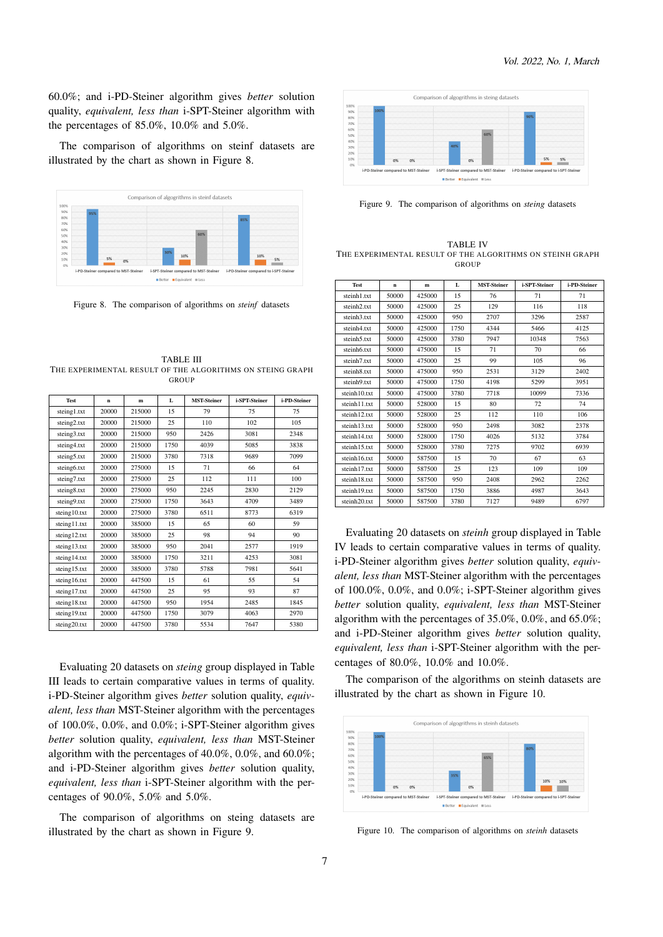60.0%; and i-PD-Steiner algorithm gives *better* solution quality, *equivalent, less than* i-SPT-Steiner algorithm with the percentages of 85.0%, 10.0% and 5.0%.

The comparison of algorithms on steinf datasets are illustrated by the chart as shown in Figure 8.



Figure 8. The comparison of algorithms on *steinf* datasets

TABLE III THE EXPERIMENTAL RESULT OF THE ALGORITHMS ON STEING GRAPH GROUP

| <b>Test</b>  | $\mathbf{n}$ | m      | L    | <b>MST-Steiner</b> | i-SPT-Steiner | i-PD-Steiner |
|--------------|--------------|--------|------|--------------------|---------------|--------------|
| steing1.txt  | 20000        | 215000 | 15   | 79                 | 75            | 75           |
| steing2.txt  | 20000        | 215000 | 25   | 110                | 102           | 105          |
| steing3.txt  | 20000        | 215000 | 950  | 2426               | 3081          | 2348         |
| steing4.txt  | 20000        | 215000 | 1750 | 4039               | 5085          | 3838         |
| steing5.txt  | 20000        | 215000 | 3780 | 7318               | 9689          | 7099         |
| steing6.txt  | 20000        | 275000 | 15   | 71                 | 66            | 64           |
| steing7.txt  | 20000        | 275000 | 25   | 112                | 111           | 100          |
| steing8.txt  | 20000        | 275000 | 950  | 2245               | 2830          | 2129         |
| steing9.txt  | 20000        | 275000 | 1750 | 3643               | 4709          | 3489         |
| steing10.txt | 20000        | 275000 | 3780 | 6511               | 8773          | 6319         |
| steing11.txt | 20000        | 385000 | 15   | 65                 | 60            | 59           |
| steing12.txt | 20000        | 385000 | 25   | 98                 | 94            | 90           |
| steing13.txt | 20000        | 385000 | 950  | 2041               | 2577          | 1919         |
| steing14.txt | 20000        | 385000 | 1750 | 3211               | 4253          | 3081         |
| steing15.txt | 20000        | 385000 | 3780 | 5788               | 7981          | 5641         |
| steing16.txt | 20000        | 447500 | 15   | 61                 | 55            | 54           |
| steing17.txt | 20000        | 447500 | 25   | 95                 | 93            | 87           |
| steing18.txt | 20000        | 447500 | 950  | 1954               | 2485          | 1845         |
| steing19.txt | 20000        | 447500 | 1750 | 3079               | 4063          | 2970         |
| steing20.txt | 20000        | 447500 | 3780 | 5534               | 7647          | 5380         |

Evaluating 20 datasets on *steing* group displayed in Table III leads to certain comparative values in terms of quality. i-PD-Steiner algorithm gives *better* solution quality, *equivalent, less than* MST-Steiner algorithm with the percentages of 100.0%, 0.0%, and 0.0%; i-SPT-Steiner algorithm gives *better* solution quality, *equivalent, less than* MST-Steiner algorithm with the percentages of 40.0%, 0.0%, and 60.0%; and i-PD-Steiner algorithm gives *better* solution quality, *equivalent, less than* i-SPT-Steiner algorithm with the percentages of 90.0%, 5.0% and 5.0%.

The comparison of algorithms on steing datasets are illustrated by the chart as shown in Figure 9.



Figure 9. The comparison of algorithms on *steing* datasets

TABLE IV THE EXPERIMENTAL RESULT OF THE ALGORITHMS ON STEINH GRAPH **GROUP** 

| Test                    | n     | $\mathbf{m}$ | L    | <b>MST-Steiner</b> | i-SPT-Steiner | i-PD-Steiner |
|-------------------------|-------|--------------|------|--------------------|---------------|--------------|
| steinh1.txt             | 50000 | 425000       | 15   | 76                 | 71            | 71           |
| steinh <sub>2.txt</sub> | 50000 | 425000       | 25   | 129                | 116           | 118          |
| steinh3.txt             | 50000 | 425000       | 950  | 2707               | 3296          | 2587         |
| steinh4.txt             | 50000 | 425000       | 1750 | 4344               | 5466          | 4125         |
| steinh5.txt             | 50000 | 425000       | 3780 | 7947               | 10348         | 7563         |
| steinh6.txt             | 50000 | 475000       | 15   | 71                 | 70            | 66           |
| steinh7.txt             | 50000 | 475000       | 25   | 99                 | 105           | 96           |
| steinh8.txt             | 50000 | 475000       | 950  | 2531               | 3129          | 2402         |
| steinh9.txt             | 50000 | 475000       | 1750 | 4198               | 5299          | 3951         |
| steinh10.txt            | 50000 | 475000       | 3780 | 7718               | 10099         | 7336         |
| steinh11.txt            | 50000 | 528000       | 15   | 80                 | 72            | 74           |
| steinh12.txt            | 50000 | 528000       | 25   | 112                | 110           | 106          |
| steinh13.txt            | 50000 | 528000       | 950  | 2498               | 3082          | 2378         |
| steinh14.txt            | 50000 | 528000       | 1750 | 4026               | 5132          | 3784         |
| steinh15.txt            | 50000 | 528000       | 3780 | 7275               | 9702          | 6939         |
| steinh16.txt            | 50000 | 587500       | 15   | 70                 | 67            | 63           |
| steinh17.txt            | 50000 | 587500       | 25   | 123                | 109           | 109          |
| steinh18.txt            | 50000 | 587500       | 950  | 2408               | 2962          | 2262         |
| steinh19.txt            | 50000 | 587500       | 1750 | 3886               | 4987          | 3643         |
| steinh20.txt            | 50000 | 587500       | 3780 | 7127               | 9489          | 6797         |

Evaluating 20 datasets on *steinh* group displayed in Table IV leads to certain comparative values in terms of quality. i-PD-Steiner algorithm gives *better* solution quality, *equivalent, less than* MST-Steiner algorithm with the percentages of 100.0%, 0.0%, and 0.0%; i-SPT-Steiner algorithm gives *better* solution quality, *equivalent, less than* MST-Steiner algorithm with the percentages of 35.0%, 0.0%, and 65.0%; and i-PD-Steiner algorithm gives *better* solution quality, *equivalent, less than* i-SPT-Steiner algorithm with the percentages of 80.0%, 10.0% and 10.0%.

The comparison of the algorithms on steinh datasets are illustrated by the chart as shown in Figure 10.



Figure 10. The comparison of algorithms on *steinh* datasets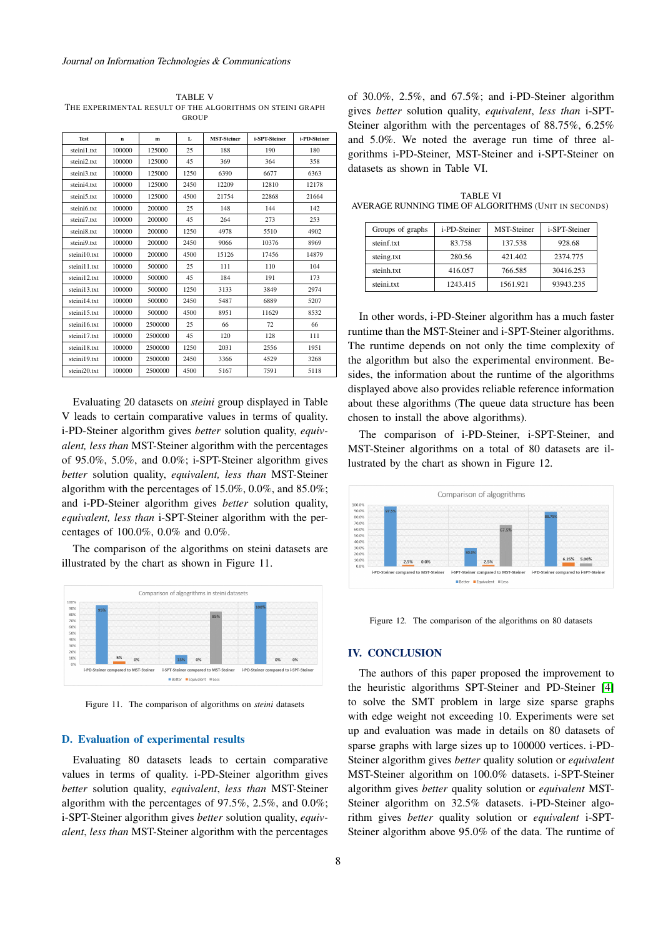TABLE V THE EXPERIMENTAL RESULT OF THE ALGORITHMS ON STEINI GRAPH **GROUP** 

| <b>Test</b>  | n      | m       | L    | <b>MST-Steiner</b> | i-SPT-Steiner | i-PD-Steiner |
|--------------|--------|---------|------|--------------------|---------------|--------------|
| steini1.txt  | 100000 | 125000  | 25   | 188                | 190           | 180          |
| steini2.txt  | 100000 | 125000  | 45   | 369                | 364           | 358          |
| steini3.txt  | 100000 | 125000  | 1250 | 6390               | 6677          | 6363         |
| steini4.txt  | 100000 | 125000  | 2450 | 12209              | 12810         | 12178        |
| steini5.txt  | 100000 | 125000  | 4500 | 21754              | 22868         | 21664        |
| steini6.txt  | 100000 | 200000  | 25   | 148                | 144           | 142          |
| steini7.txt  | 100000 | 200000  | 45   | 264                | 273           | 253          |
| steini8.txt  | 100000 | 200000  | 1250 | 4978               | 5510          | 4902         |
| steini9.txt  | 100000 | 200000  | 2450 | 9066               | 10376         | 8969         |
| steini10.txt | 100000 | 200000  | 4500 | 15126              | 17456         | 14879        |
| steini11.txt | 100000 | 500000  | 25   | 111                | 110           | 104          |
| steini12.txt | 100000 | 500000  | 45   | 184                | 191           | 173          |
| steini13.txt | 100000 | 500000  | 1250 | 3133               | 3849          | 2974         |
| steini14.txt | 100000 | 500000  | 2450 | 5487               | 6889          | 5207         |
| steini15.txt | 100000 | 500000  | 4500 | 8951               | 11629         | 8532         |
| steini16.txt | 100000 | 2500000 | 25   | 66                 | 72            | 66           |
| steini17.txt | 100000 | 2500000 | 45   | 120                | 128           | 111          |
| steini18.txt | 100000 | 2500000 | 1250 | 2031               | 2556          | 1951         |
| steini19.txt | 100000 | 2500000 | 2450 | 3366               | 4529          | 3268         |
| steini20.txt | 100000 | 2500000 | 4500 | 5167               | 7591          | 5118         |

Evaluating 20 datasets on *steini* group displayed in Table V leads to certain comparative values in terms of quality. i-PD-Steiner algorithm gives *better* solution quality, *equivalent, less than* MST-Steiner algorithm with the percentages of 95.0%, 5.0%, and 0.0%; i-SPT-Steiner algorithm gives *better* solution quality, *equivalent, less than* MST-Steiner algorithm with the percentages of 15.0%, 0.0%, and 85.0%; and i-PD-Steiner algorithm gives *better* solution quality, *equivalent, less than* i-SPT-Steiner algorithm with the percentages of 100.0%, 0.0% and 0.0%.

The comparison of the algorithms on steini datasets are illustrated by the chart as shown in Figure 11.



Figure 11. The comparison of algorithms on *steini* datasets

## **D. Evaluation of experimental results**

Evaluating 80 datasets leads to certain comparative values in terms of quality. i-PD-Steiner algorithm gives *better* solution quality, *equivalent*, *less than* MST-Steiner algorithm with the percentages of 97.5%, 2.5%, and 0.0%; i-SPT-Steiner algorithm gives *better* solution quality, *equivalent*, *less than* MST-Steiner algorithm with the percentages of 30.0%, 2.5%, and 67.5%; and i-PD-Steiner algorithm gives *better* solution quality, *equivalent*, *less than* i-SPT-Steiner algorithm with the percentages of 88.75%, 6.25% and 5.0%. We noted the average run time of three algorithms i-PD-Steiner, MST-Steiner and i-SPT-Steiner on datasets as shown in Table VI.

TABLE VI AVERAGE RUNNING TIME OF ALGORITHMS (UNIT IN SECONDS)

| Groups of graphs | i-PD-Steiner | <b>MST-Steiner</b> | i-SPT-Steiner |
|------------------|--------------|--------------------|---------------|
| steinf.txt       | 83.758       | 137.538            | 928.68        |
| steing.txt       | 280.56       | 421.402            | 2374.775      |
| steinh.txt       | 416.057      | 766.585            | 30416.253     |
| steini.txt       | 1243.415     | 1561.921           | 93943.235     |

In other words, i-PD-Steiner algorithm has a much faster runtime than the MST-Steiner and i-SPT-Steiner algorithms. The runtime depends on not only the time complexity of the algorithm but also the experimental environment. Besides, the information about the runtime of the algorithms displayed above also provides reliable reference information about these algorithms (The queue data structure has been chosen to install the above algorithms).

The comparison of i-PD-Steiner, i-SPT-Steiner, and MST-Steiner algorithms on a total of 80 datasets are illustrated by the chart as shown in Figure 12.



Figure 12. The comparison of the algorithms on 80 datasets

## **IV. CONCLUSION**

The authors of this paper proposed the improvement to the heuristic algorithms SPT-Steiner and PD-Steiner [\[4\]](#page-8-16) to solve the SMT problem in large size sparse graphs with edge weight not exceeding 10. Experiments were set up and evaluation was made in details on 80 datasets of sparse graphs with large sizes up to 100000 vertices. i-PD-Steiner algorithm gives *better* quality solution or *equivalent* MST-Steiner algorithm on 100.0% datasets. i-SPT-Steiner algorithm gives *better* quality solution or *equivalent* MST-Steiner algorithm on 32.5% datasets. i-PD-Steiner algorithm gives *better* quality solution or *equivalent* i-SPT-Steiner algorithm above 95.0% of the data. The runtime of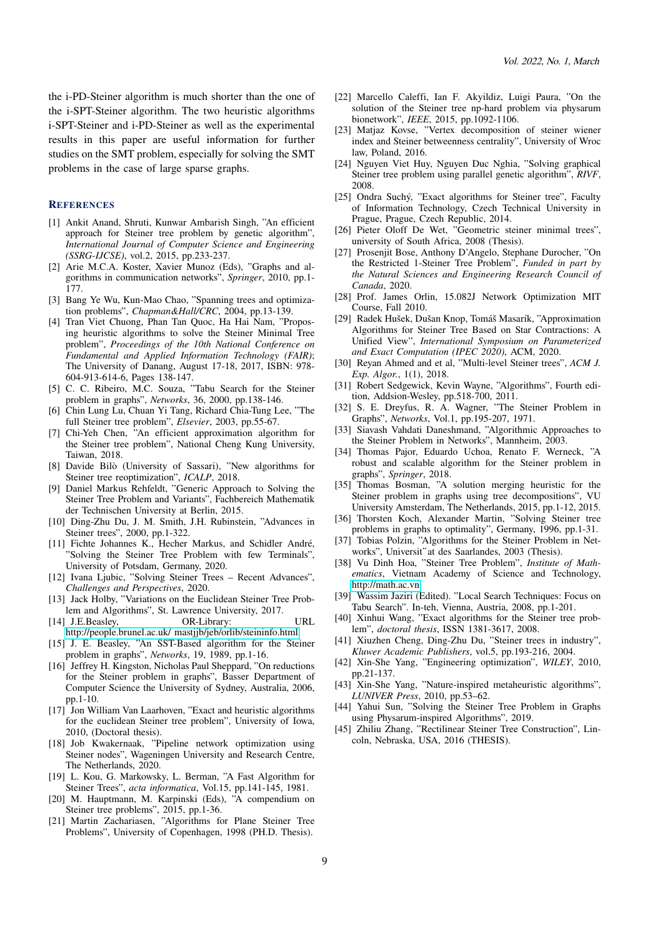the i-PD-Steiner algorithm is much shorter than the one of the i-SPT-Steiner algorithm. The two heuristic algorithms i-SPT-Steiner and i-PD-Steiner as well as the experimental results in this paper are useful information for further studies on the SMT problem, especially for solving the SMT problems in the case of large sparse graphs.

#### **REFERENCES**

- [1] Ankit Anand, Shruti, Kunwar Ambarish Singh, "An efficient approach for Steiner tree problem by genetic algorithm", *International Journal of Computer Science and Engineering (SSRG-IJCSE)*, vol.2, 2015, pp.233-237.
- [2] Arie M.C.A. Koster, Xavier Munoz (Eds), "Graphs and algorithms in communication networks", *Springer*, 2010, pp.1- 177.
- <span id="page-8-0"></span>[3] Bang Ye Wu, Kun-Mao Chao, "Spanning trees and optimization problems", *Chapman&Hall/CRC*, 2004, pp.13-139.
- <span id="page-8-16"></span>[4] Tran Viet Chuong, Phan Tan Quoc, Ha Hai Nam, "Proposing heuristic algorithms to solve the Steiner Minimal Tree problem", *Proceedings of the 10th National Conference on Fundamental and Applied Information Technology (FAIR)*; The University of Danang, August 17-18, 2017, ISBN: 978- 604-913-614-6, Pages 138-147.
- <span id="page-8-10"></span>[5] C. C. Ribeiro, M.C. Souza, "Tabu Search for the Steiner problem in graphs", *Networks*, 36, 2000, pp.138-146.
- [6] Chin Lung Lu, Chuan Yi Tang, Richard Chia-Tung Lee, "The full Steiner tree problem", *Elsevier*, 2003, pp.55-67.
- [7] Chi-Yeh Chen, "An efficient approximation algorithm for the Steiner tree problem", National Cheng Kung University, Taiwan, 2018.
- [8] Davide Bilò (University of Sassari), "New algorithms for Steiner tree reoptimization", *ICALP*, 2018.
- <span id="page-8-14"></span>[9] Daniel Markus Rehfeldt, "Generic Approach to Solving the Steiner Tree Problem and Variants", Fachbereich Mathematik der Technischen University at Berlin, 2015.
- [10] Ding-Zhu Du, J. M. Smith, J.H. Rubinstein, "Advances in Steiner trees", 2000, pp.1-322.
- [11] Fichte Johannes K., Hecher Markus, and Schidler André, "Solving the Steiner Tree Problem with few Terminals", University of Potsdam, Germany, 2020.
- [12] Ivana Ljubic, "Solving Steiner Trees Recent Advances", *Challenges and Perspectives*, 2020.
- [13] Jack Holby, "Variations on the Euclidean Steiner Tree Problem and Algorithms", St. Lawrence University, 2017.
- <span id="page-8-15"></span>[14] J.E.Beasley, OR-Library: URL [http://people.brunel.ac.uk/ mastjjb/jeb/orlib/steininfo.html](http://people.brunel.ac.uk/~mastjjb/jeb/orlib/steininfo.html)
- <span id="page-8-12"></span>[15] J. E. Beasley, "An SST-Based algorithm for the Steiner problem in graphs", *Networks*, 19, 1989, pp.1-16.
- <span id="page-8-8"></span>[16] Jeffrey H. Kingston, Nicholas Paul Sheppard, "On reductions for the Steiner problem in graphs", Basser Department of Computer Science the University of Sydney, Australia, 2006, pp.1-10.
- <span id="page-8-7"></span>[17] Jon William Van Laarhoven, "Exact and heuristic algorithms for the euclidean Steiner tree problem", University of Iowa, 2010, (Doctoral thesis).
- [18] Job Kwakernaak, "Pipeline network optimization using Steiner nodes", Wageningen University and Research Centre, The Netherlands, 2020.
- <span id="page-8-13"></span>[19] L. Kou, G. Markowsky, L. Berman, "A Fast Algorithm for Steiner Trees", *acta informatica*, Vol.15, pp.141-145, 1981.
- [20] M. Hauptmann, M. Karpinski (Eds), "A compendium on Steiner tree problems", 2015, pp.1-36.
- <span id="page-8-3"></span>[21] Martin Zachariasen, "Algorithms for Plane Steiner Tree Problems", University of Copenhagen, 1998 (PH.D. Thesis).
- [22] Marcello Caleffi, Ian F. Akyildiz, Luigi Paura, "On the solution of the Steiner tree np-hard problem via physarum bionetwork", *IEEE*, 2015, pp.1092-1106.
- [23] Matjaz Kovse, "Vertex decomposition of steiner wiener index and Steiner betweenness centrality", University of Wroc law, Poland, 2016.
- [24] Nguyen Viet Huy, Nguyen Duc Nghia, "Solving graphical Steiner tree problem using parallel genetic algorithm", *RIVF*, 2008.
- [25] Ondra Suchý, "Exact algorithms for Steiner tree", Faculty of Information Technology, Czech Technical University in Prague, Prague, Czech Republic, 2014.
- <span id="page-8-5"></span>[26] Pieter Oloff De Wet, "Geometric steiner minimal trees", university of South Africa, 2008 (Thesis).
- [27] Prosenjit Bose, Anthony D'Angelo, Stephane Durocher, "On the Restricted 1-Steiner Tree Problem", *Funded in part by the Natural Sciences and Engineering Research Council of Canada*, 2020.
- <span id="page-8-17"></span>[28] Prof. James Orlin, 15.082J Network Optimization MIT Course, Fall 2010.
- [29] Radek Hušek, Dušan Knop, Tomáš Masarík, "Approximation Algorithms for Steiner Tree Based on Star Contractions: A Unified View", *International Symposium on Parameterized and Exact Computation (IPEC 2020)*, ACM, 2020.
- <span id="page-8-1"></span>[30] Reyan Ahmed and et al, "Multi-level Steiner trees", *ACM J. Exp. Algor.*, 1(1), 2018.
- [31] Robert Sedgewick, Kevin Wayne, "Algorithms", Fourth edition, Addsion-Wesley, pp.518-700, 2011.
- <span id="page-8-11"></span>[32] S. E. Dreyfus, R. A. Wagner, "The Steiner Problem in Graphs", *Networks*, Vol.1, pp.195-207, 1971.
- [33] Siavash Vahdati Daneshmand, "Algorithmic Approaches to the Steiner Problem in Networks", Mannheim, 2003.
- [34] Thomas Pajor, Eduardo Uchoa, Renato F. Werneck, "A robust and scalable algorithm for the Steiner problem in graphs", *Springer*, 2018.
- [35] Thomas Bosman, "A solution merging heuristic for the Steiner problem in graphs using tree decompositions", VU University Amsterdam, The Netherlands, 2015, pp.1-12, 2015. Steiner problem in graphs using tree decompositi<br>University Amsterdam, The Netherlands, 2015, pp.1<br>Thorsten Koch, Alexander Martin, "Solving Staproblems in graphs to optimality", Germany, 1996,<br>Tobias Polzin, "Algorithms f
- <span id="page-8-9"></span>[36] Thorsten Koch, Alexander Martin, "Solving Steiner tree problems in graphs to optimality", Germany, 1996, pp.1-31.
- <span id="page-8-4"></span>[37] Tobias Polzin, "Algorithms for the Steiner Problem in Net-
- [38] Vu Dinh Hoa, "Steiner Tree Problem", *Institute of Mathematics*, Vietnam Academy of Science and Technology, [http://math.ac.vn.](http://math.ac.vn)
- [39] Wassim Jaziri (Edited). "Local Search Techniques: Focus on Tabu Search". In-teh, Vienna, Austria, 2008, pp.1-201.
- <span id="page-8-6"></span>[40] Xinhui Wang, "Exact algorithms for the Steiner tree problem", *doctoral thesis*, ISSN 1381-3617, 2008.
- [41] Xiuzhen Cheng, Ding-Zhu Du, "Steiner trees in industry", *Kluwer Academic Publishers*, vol.5, pp.193-216, 2004.
- [42] Xin-She Yang, "Engineering optimization", *WILEY*, 2010, pp.21-137.
- [43] Xin-She Yang, "Nature-inspired metaheuristic algorithms", *LUNIVER Press*, 2010, pp.53–62.
- [44] Yahui Sun, "Solving the Steiner Tree Problem in Graphs using Physarum-inspired Algorithms", 2019.
- <span id="page-8-2"></span>[45] Zhiliu Zhang, "Rectilinear Steiner Tree Construction", Lincoln, Nebraska, USA, 2016 (THESIS).